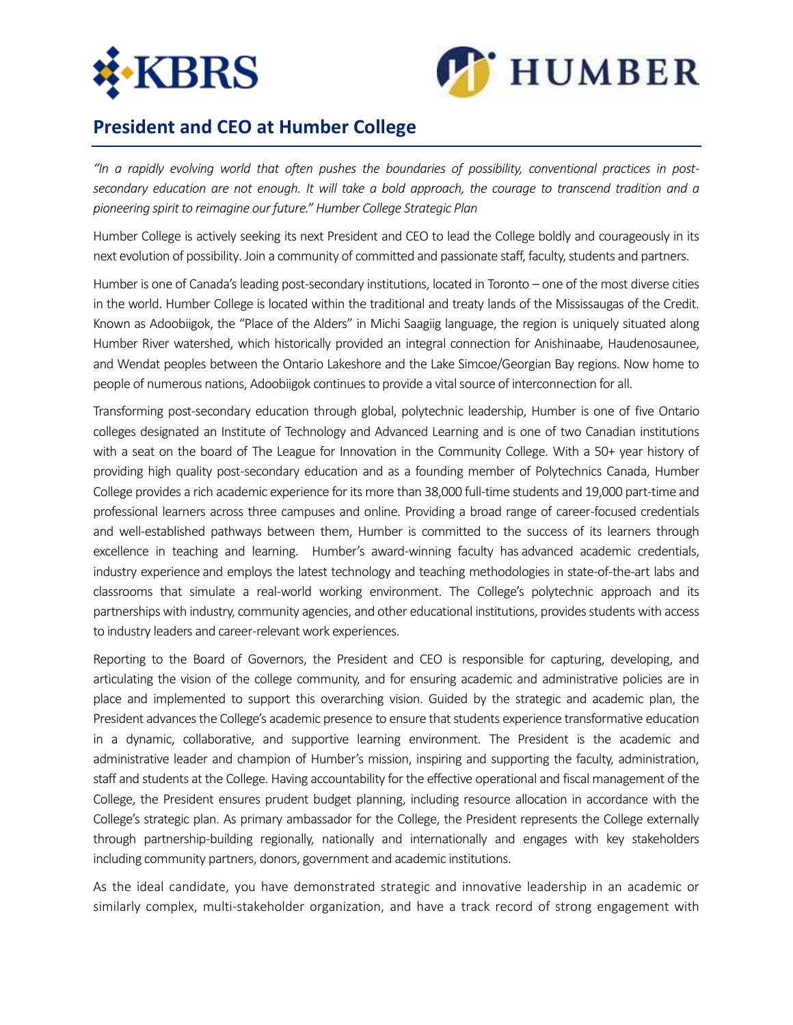



## **President and CEO at Humber College**

*"In a rapidly evolving world that often pushes the boundaries of possibility, conventional practices in postsecondary education are not enough. It will take a bold approach, the courage to transcend tradition and a pioneering spirit to reimagine our future." Humber College Strategic Plan*

Humber College is actively seeking its next President and CEO to lead the College boldly and courageously in its next evolution of possibility. Join a community of committed and passionate staff, faculty, students and partners.

Humber is one of Canada's leading post-secondary institutions, located in Toronto – one of the most diverse cities in the world. Humber College is located within the traditional and treaty lands of the Mississaugas of the Credit. Known as Adoobiigok, the "Place of the Alders" in Michi Saagiig language, the region is uniquely situated along Humber River watershed, which historically provided an integral connection for Anishinaabe, Haudenosaunee, and Wendat peoples between the Ontario Lakeshore and the Lake Simcoe/Georgian Bay regions. Now home to people of numerous nations, Adoobiigok continues to provide a vital source of interconnection for all.

Transforming post-secondary education through global, polytechnic leadership, Humber is one of five Ontario colleges designated an Institute of Technology and Advanced Learning and is one of two Canadian institutions with a seat on the board of The League for Innovation in the Community College. With a 50+ year history of providing high quality post-secondary education and as a founding member of Polytechnics Canada, Humber College provides a rich academic experience for its more than 38,000 full-time students and 19,000 part-time and professional learners across three campuses and online. Providing a broad range of career-focused credentials and well-established pathways between them, Humber is committed to the success of its learners through excellence in teaching and learning. Humber's award-winning faculty has advanced academic credentials, industry experience and employs the latest technology and teaching methodologies in state-of-the-art labs and classrooms that simulate a real-world working environment. The College's polytechnic approach and its partnerships with industry, community agencies, and other educational institutions, provides students with access to industry leaders and career-relevant work experiences.

Reporting to the Board of Governors, the President and CEO is responsible for capturing, developing, and articulating the vision of the college community, and for ensuring academic and administrative policies are in place and implemented to support this overarching vision. Guided by the strategic and academic plan, the President advances the College's academic presence to ensure that students experience transformative education in a dynamic, collaborative, and supportive learning environment. The President is the academic and administrative leader and champion of Humber's mission, inspiring and supporting the faculty, administration, staff and students at the College. Having accountability for the effective operational and fiscal management of the College, the President ensures prudent budget planning, including resource allocation in accordance with the College's strategic plan. As primary ambassador for the College, the President represents the College externally through partnership-building regionally, nationally and internationally and engages with key stakeholders including community partners, donors, government and academic institutions.

As the ideal candidate, you have demonstrated strategic and innovative leadership in an academic or similarly complex, multi-stakeholder organization, and have a track record of strong engagement with